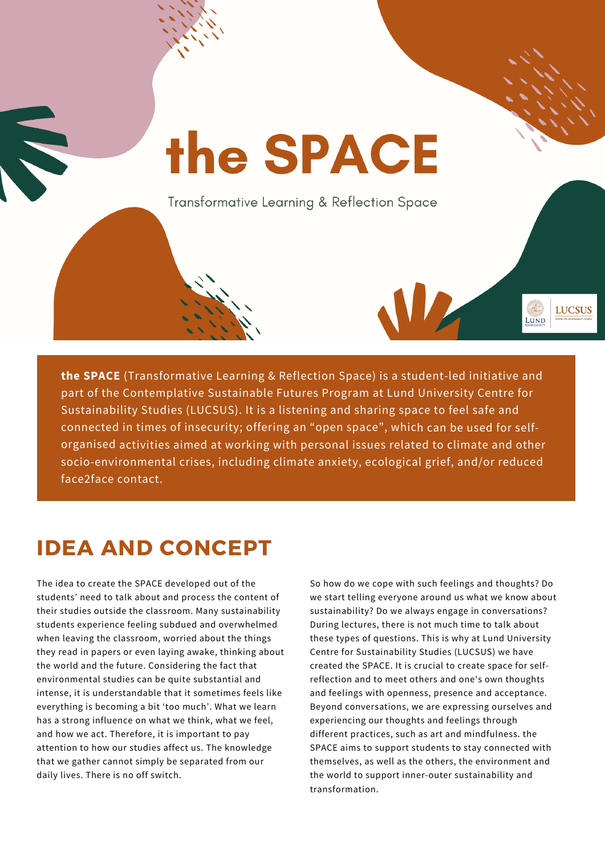# the SPACE Transformative Learning & Reflection Space **LUCSUS** LUND

**the SPACE** (Transformative Learning & Reflection Space) is <sup>a</sup> student-led initiative and part of the Contemplative Sustainable Futures Program at Lund University Centre for Sustainability Studies (LUCSUS). It is <sup>a</sup> listening and sharing space to feel safe and connected in times of insecurity; offering an "open space", which can be used for selforganised activities aimed at working with personal issues related to climate and other socio-environmental crises, including climate anxiety, ecological grief, and/or reduced face2face contact.

## IDEA AND CONCEPT

The idea to create the SPACE developed out of the students' need to talk about and process the content of their studies outside the classroom. Many sustainability students experience feeling subdued and overwhelmed when leaving the classroom, worried about the things they read in papers or even laying awake, thinking about the world and the future. Considering the fact that environmental studies can be quite substantial and intense, it is understandable that it sometimes feels like everything is becoming a bit 'too much'. What we learn has a strong influence on what we think, what we feel, and how we act. Therefore, it is important to pay attention to how our studies affect us. The knowledge that we gather cannot simply be separated from our daily lives. There is no off switch.

So how do we cope with such feelings and thoughts? Do we start telling everyone around us what we know about sustainability? Do we always engage in conversations? During lectures, there is not much time to talk about these types of questions. This is why at Lund University Centre for Sustainability Studies (LUCSUS) we have created the SPACE. It is crucial to create space for selfreflection and to meet others and one's own thoughts and feelings with openness, presence and acceptance. Beyond conversations, we are expressing ourselves and experiencing our thoughts and feelings through different practices, such as art and mindfulness. the SPACE aims to support students to stay connected with themselves, as well as the others, the environment and the world to support inner-outer sustainability and transformation.